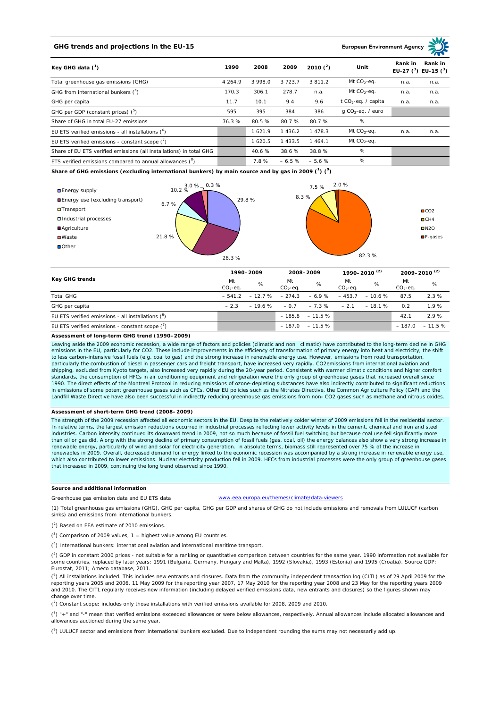# **GHG trends and projections in the EU-15**

**European Environment Ag** 

| Key GHG data $(^1)$                                                 |             | 2008    | 2009        | 2010 $(^{2})$ | Unit                            | Rank in | Rank in<br>EU-27 $(^3)$ EU-15 $(^3)$ |
|---------------------------------------------------------------------|-------------|---------|-------------|---------------|---------------------------------|---------|--------------------------------------|
| Total greenhouse gas emissions (GHG)                                | 4 2 6 4 . 9 | 3 998.0 | 3 7 2 3 . 7 | 3 8 1 1 . 2   | Mt $CO_2$ -eq.                  | n.a.    | n.a.                                 |
| GHG from international bunkers $(^4)$                               | 170.3       | 306.1   | 278.7       | n.a.          | Mt $CO_2$ -eq.                  | n.a.    | n.a.                                 |
| GHG per capita                                                      | 11.7        | 10.1    | 9.4         | 9.6           | t CO <sub>2</sub> -eq. / capita | n.a.    | n.a.                                 |
| GHG per GDP (constant prices) $(^5)$                                | 595         | 395     | 384         | 386           | $q$ CO <sub>2</sub> -eq. / euro |         |                                      |
| Share of GHG in total EU-27 emissions                               | 76.3%       | 80.5 %  | 80.7%       | 80.7%         | %                               |         |                                      |
| EU ETS verified emissions - all installations $(^6)$                |             | 1621.9  | 1 4 3 6 . 2 | 1478.3        | Mt $CO_2$ -eq.                  | n.a.    | n.a.                                 |
| EU ETS verified emissions - constant scope $\binom{7}{1}$           |             | 1 620.5 | 433.5       | 1 464.1       | Mt $CO_2$ -eq.                  |         |                                      |
| Share of EU ETS verified emissions (all installations) in total GHG |             | 40.6 %  | 38.6 %      | 38.8%         | %                               |         |                                      |
| ETS verified emissions compared to annual allowances $(^8)$         |             | 7.8%    | $-6.5%$     | $-5.6%$       | %                               |         |                                      |

**Share of GHG emissions (excluding international bunkers) by main source and by gas in 2009 (<sup>1</sup> ) (<sup>9</sup> )**



| <b>Key GHG trends</b>                                     |                 | 1990-2009                 |                  | 2008-2009          |                 | 1990-2010 <sup>(2)</sup> |                 | 2009-2010 <sup>(2)</sup> |  |
|-----------------------------------------------------------|-----------------|---------------------------|------------------|--------------------|-----------------|--------------------------|-----------------|--------------------------|--|
|                                                           | Mt<br>$CO2-eq.$ | %                         | Mt<br>$CO2-ea$ . | %                  | Mt<br>$CO2-ea.$ | %                        | Mt<br>$CO2-eq.$ | %                        |  |
| <b>Total GHG</b>                                          |                 | $-541.2 - 12.7\% - 274.3$ |                  | $-6.9%$            | $-453.7$        | $-10.6%$                 | 87.5            | 2.3%                     |  |
| GHG per capita                                            | $-23$           | $-19.6\% - 0.7$           |                  | $-7.3 \%$          | $-2.1$          | $-18.1%$                 | 0.2             | 1.9%                     |  |
| EU ETS verified emissions - all installations $(°)$       |                 |                           |                  | $-185.8 - 11.5%$   |                 |                          | 42.1            | 2.9%                     |  |
| EU ETS verified emissions - constant scope $\binom{7}{1}$ |                 |                           |                  | $-187.0 - 11.5 \%$ |                 |                          |                 | $-187.0 - 11.5%$         |  |

#### **Assessment of long-term GHG trend (1990–2009)**

Leaving aside the 2009 economic recession, a wide range of factors and policies (climatic and non climatic) have contributed to the long-term decline in GHG emissions in the EU, particularly for CO2. These include improvements in the efficiency of transformation of primary energy into heat and electricity, the shift to less carbon-intensive fossil fuels (e.g. coal to gas) and the strong increase in renewable energy use. However, emissions from road transportation, particularly the combustion of diesel in passenger cars and freight transport, have increased very rapidly. CO2emissions from international aviation and shipping, excluded from Kyoto targets, also increased very rapidly during the 20-year period. Consistent with warmer climatic conditions and higher comfort standards, the consumption of HFCs in air conditioning equipment and refrigeration were the only group of greenhouse gases that increased overall since 1990. The direct effects of the Montreal Protocol in reducing emissions of ozone-depleting substances have also indirectly contributed to significant reductions in emissions of some potent greenhouse gases such as CFCs. Other EU policies such as the Nitrates Directive, the Common Agriculture Policy (CAP) and the Landfill Waste Directive have also been successful in indirectly reducing greenhouse gas emissions from non- CO2 gases such as methane and nitrous oxides

# **Assessment of short-term GHG trend (2008–2009)**

The strength of the 2009 recession affected all economic sectors in the EU. Despite the relatively colder winter of 2009 emissions fell in the residential sector. In relative terms, the largest emission reductions occurred in industrial processes reflecting lower activity levels in the cement, chemical and iron and steel industries. Carbon intensity continued its downward trend in 2009, not so much because of fossil fuel switching but because coal use fell significantly more than oil or gas did. Along with the strong decline of primary consumption of fossil fuels (gas, coal, oil) the energy balances also show a very strong increase in<br>renewable energy, particularly of wind and solar for electr renewables in 2009. Overall, decreased demand for energy linked to the economic recession was accompanied by a strong increase in renewable energy use, which also contributed to lower emissions. Nuclear electricity production fell in 2009. HFCs from industrial processes were the only group of greenhouse gases that increased in 2009, continuing the long trend observed since 1990.

# **Source and additional information**

.eea.europa.eu/themes/climate/data-viewers

(1) Total greenhouse gas emissions (GHG), GHG per capita, GHG per GDP and shares of GHG do not include emissions and removals from LULUCF (carbon sinks) and emissions from international bunkers.

( 2 ) Based on EEA estimate of 2010 emissions.

Greenhouse gas emission data and EU ETS data

 $(3)$  Comparison of 2009 values, 1 = highest value among EU countries.

( 4 ) International bunkers: international aviation and international maritime transport.

 $(^{5})$  GDP in constant 2000 prices - not suitable for a ranking or quantitative comparison between countries for the same year. 1990 information not available for some countries, replaced by later years: 1991 (Bulgaria, Germany, Hungary and Malta), 1992 (Slovakia), 1993 (Estonia) and 1995 (Croatia). Source GDP: Eurostat, 2011; Ameco database, 2011.

(<sup>6</sup>) All installations included. This includes new entrants and closures. Data from the community independent transaction log (CITL) as of 29 April 2009 for the<br>reporting years 2005 and 2006, 11 May 2009 for the reporting and 2010. The CITL regularly receives new information (including delayed verified emissions data, new entrants and closures) so the figures shown may change over time.

 $\binom{7}{1}$  Constant scope: includes only those installations with verified emissions available for 2008, 2009 and 2010.

 $(^{8}$ ) " $+$ " and "-" mean that verified emissions exceeded allowances or were below allowances, respectively. Annual allowances include allocated allowances and allowances auctioned during the same year.

 $(2)$  LULUCF sector and emissions from international bunkers excluded. Due to independent rounding the sums may not necessarily add up.